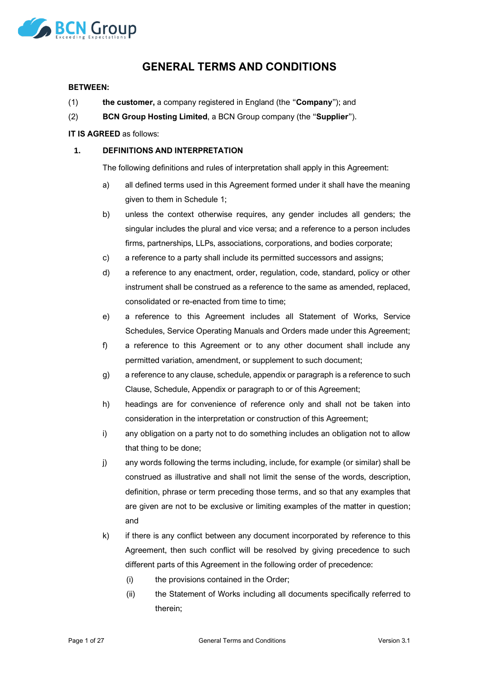

# **GENERAL TERMS AND CONDITIONS**

#### **BETWEEN:**

- (1) **the customer,** a company registered in England (the "**Company**"); and
- (2) **BCN Group Hosting Limited**, a BCN Group company (the "**Supplier**").

#### **IT IS AGREED** as follows:

#### **1. DEFINITIONS AND INTERPRETATION**

The following definitions and rules of interpretation shall apply in this Agreement:

- a) all defined terms used in this Agreement formed under it shall have the meaning given to them in Schedule 1;
- b) unless the context otherwise requires, any gender includes all genders; the singular includes the plural and vice versa; and a reference to a person includes firms, partnerships, LLPs, associations, corporations, and bodies corporate;
- c) a reference to a party shall include its permitted successors and assigns;
- d) a reference to any enactment, order, regulation, code, standard, policy or other instrument shall be construed as a reference to the same as amended, replaced, consolidated or re-enacted from time to time;
- e) a reference to this Agreement includes all Statement of Works, Service Schedules, Service Operating Manuals and Orders made under this Agreement;
- f) a reference to this Agreement or to any other document shall include any permitted variation, amendment, or supplement to such document;
- g) a reference to any clause, schedule, appendix or paragraph is a reference to such Clause, Schedule, Appendix or paragraph to or of this Agreement;
- h) headings are for convenience of reference only and shall not be taken into consideration in the interpretation or construction of this Agreement;
- i) any obligation on a party not to do something includes an obligation not to allow that thing to be done;
- j) any words following the terms including, include, for example (or similar) shall be construed as illustrative and shall not limit the sense of the words, description, definition, phrase or term preceding those terms, and so that any examples that are given are not to be exclusive or limiting examples of the matter in question; and
- k) if there is any conflict between any document incorporated by reference to this Agreement, then such conflict will be resolved by giving precedence to such different parts of this Agreement in the following order of precedence:
	- (i) the provisions contained in the Order;
	- (ii) the Statement of Works including all documents specifically referred to therein;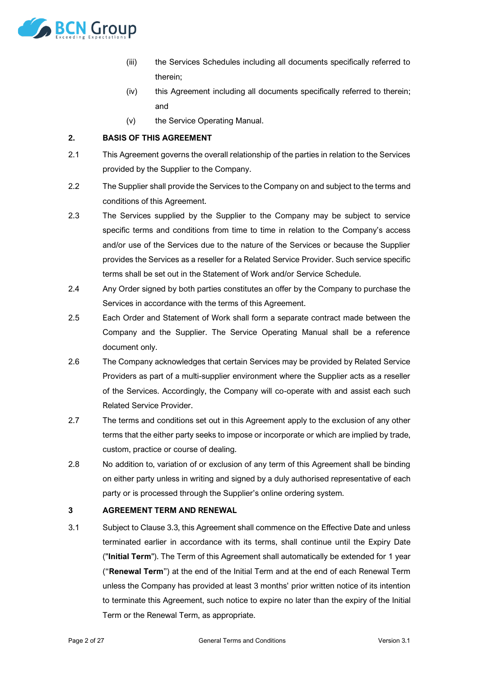

- (iii) the Services Schedules including all documents specifically referred to therein;
- (iv) this Agreement including all documents specifically referred to therein; and
- (v) the Service Operating Manual.

# <span id="page-1-1"></span>**2. BASIS OF THIS AGREEMENT**

- 2.1 This Agreement governs the overall relationship of the parties in relation to the Services provided by the Supplier to the Company.
- 2.2 The Supplier shall provide the Services to the Company on and subject to the terms and conditions of this Agreement.
- 2.3 The Services supplied by the Supplier to the Company may be subject to service specific terms and conditions from time to time in relation to the Company's access and/or use of the Services due to the nature of the Services or because the Supplier provides the Services as a reseller for a Related Service Provider. Such service specific terms shall be set out in the Statement of Work and/or Service Schedule.
- 2.4 Any Order signed by both parties constitutes an offer by the Company to purchase the Services in accordance with the terms of this Agreement.
- 2.5 Each Order and Statement of Work shall form a separate contract made between the Company and the Supplier. The Service Operating Manual shall be a reference document only.
- 2.6 The Company acknowledges that certain Services may be provided by Related Service Providers as part of a multi-supplier environment where the Supplier acts as a reseller of the Services. Accordingly, the Company will co-operate with and assist each such Related Service Provider.
- 2.7 The terms and conditions set out in this Agreement apply to the exclusion of any other terms that the either party seeks to impose or incorporate or which are implied by trade, custom, practice or course of dealing.
- 2.8 No addition to, variation of or exclusion of any term of this Agreement shall be binding on either party unless in writing and signed by a duly authorised representative of each party or is processed through the Supplier's online ordering system.

# **3 AGREEMENT TERM AND RENEWAL**

<span id="page-1-0"></span>3.1 Subject to Clause [3.3,](#page-2-0) this Agreement shall commence on the Effective Date and unless terminated earlier in accordance with its terms, shall continue until the Expiry Date ("**Initial Term**"). The Term of this Agreement shall automatically be extended for 1 year ("**Renewal Term**") at the end of the Initial Term and at the end of each Renewal Term unless the Company has provided at least 3 months' prior written notice of its intention to terminate this Agreement, such notice to expire no later than the expiry of the Initial Term or the Renewal Term, as appropriate.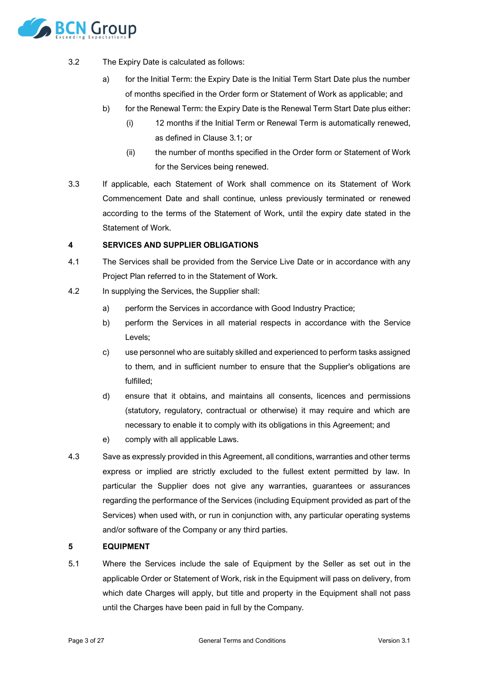

- <span id="page-2-1"></span>3.2 The Expiry Date is calculated as follows:
	- a) for the Initial Term: the Expiry Date is the Initial Term Start Date plus the number of months specified in the Order form or Statement of Work as applicable; and
	- b) for the Renewal Term: the Expiry Date is the Renewal Term Start Date plus either:
		- (i) 12 months if the Initial Term or Renewal Term is automatically renewed, as defined in Clause [3.1;](#page-1-0) or
		- (ii) the number of months specified in the Order form or Statement of Work for the Services being renewed.
- <span id="page-2-0"></span>3.3 If applicable, each Statement of Work shall commence on its Statement of Work Commencement Date and shall continue, unless previously terminated or renewed according to the terms of the Statement of Work, until the expiry date stated in the Statement of Work.

#### **4 SERVICES AND SUPPLIER OBLIGATIONS**

- 4.1 The Services shall be provided from the Service Live Date or in accordance with any Project Plan referred to in the Statement of Work.
- 4.2 In supplying the Services, the Supplier shall:
	- a) perform the Services in accordance with Good Industry Practice;
	- b) perform the Services in all material respects in accordance with the Service Levels;
	- c) use personnel who are suitably skilled and experienced to perform tasks assigned to them, and in sufficient number to ensure that the Supplier's obligations are fulfilled;
	- d) ensure that it obtains, and maintains all consents, licences and permissions (statutory, regulatory, contractual or otherwise) it may require and which are necessary to enable it to comply with its obligations in this Agreement; and
	- e) comply with all applicable Laws.
- 4.3 Save as expressly provided in this Agreement, all conditions, warranties and other terms express or implied are strictly excluded to the fullest extent permitted by law. In particular the Supplier does not give any warranties, guarantees or assurances regarding the performance of the Services (including Equipment provided as part of the Services) when used with, or run in conjunction with, any particular operating systems and/or software of the Company or any third parties.

#### **5 EQUIPMENT**

5.1 Where the Services include the sale of Equipment by the Seller as set out in the applicable Order or Statement of Work, risk in the Equipment will pass on delivery, from which date Charges will apply, but title and property in the Equipment shall not pass until the Charges have been paid in full by the Company.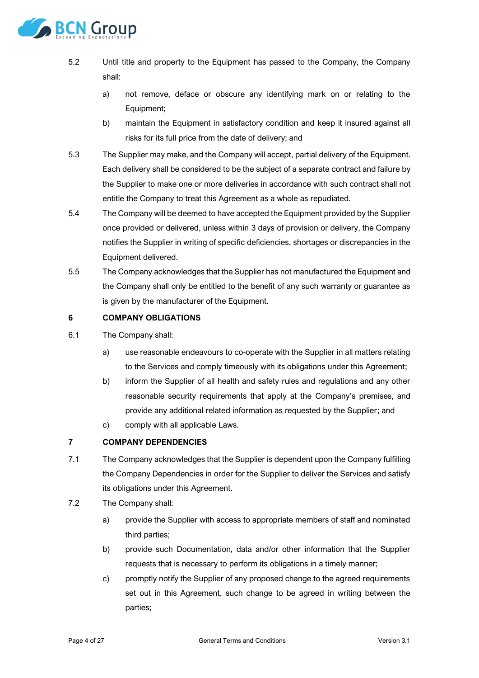

- 5.2 Until title and property to the Equipment has passed to the Company, the Company shall:
	- a) not remove, deface or obscure any identifying mark on or relating to the Equipment;
	- b) maintain the Equipment in satisfactory condition and keep it insured against all risks for its full price from the date of delivery; and
- 5.3 The Supplier may make, and the Company will accept, partial delivery of the Equipment. Each delivery shall be considered to be the subject of a separate contract and failure by the Supplier to make one or more deliveries in accordance with such contract shall not entitle the Company to treat this Agreement as a whole as repudiated.
- 5.4 The Company will be deemed to have accepted the Equipment provided by the Supplier once provided or delivered, unless within 3 days of provision or delivery, the Company notifies the Supplier in writing of specific deficiencies, shortages or discrepancies in the Equipment delivered.
- 5.5 The Company acknowledges that the Supplier has not manufactured the Equipment and the Company shall only be entitled to the benefit of any such warranty or guarantee as is given by the manufacturer of the Equipment.

# **6 COMPANY OBLIGATIONS**

- 6.1 The Company shall:
	- a) use reasonable endeavours to co-operate with the Supplier in all matters relating to the Services and comply timeously with its obligations under this Agreement;
	- b) inform the Supplier of all health and safety rules and regulations and any other reasonable security requirements that apply at the Company's premises, and provide any additional related information as requested by the Supplier; and
	- c) comply with all applicable Laws.

# **7 COMPANY DEPENDENCIES**

- 7.1 The Company acknowledges that the Supplier is dependent upon the Company fulfilling the Company Dependencies in order for the Supplier to deliver the Services and satisfy its obligations under this Agreement.
- <span id="page-3-0"></span>7.2 The Company shall:
	- a) provide the Supplier with access to appropriate members of staff and nominated third parties;
	- b) provide such Documentation, data and/or other information that the Supplier requests that is necessary to perform its obligations in a timely manner;
	- c) promptly notify the Supplier of any proposed change to the agreed requirements set out in this Agreement, such change to be agreed in writing between the parties;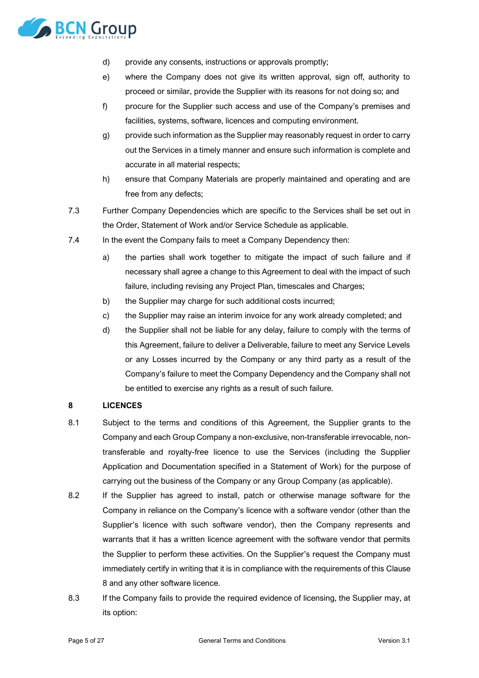

- d) provide any consents, instructions or approvals promptly;
- e) where the Company does not give its written approval, sign off, authority to proceed or similar, provide the Supplier with its reasons for not doing so; and
- f) procure for the Supplier such access and use of the Company's premises and facilities, systems, software, licences and computing environment.
- g) provide such information as the Supplier may reasonably request in order to carry out the Services in a timely manner and ensure such information is complete and accurate in all material respects;
- h) ensure that Company Materials are properly maintained and operating and are free from any defects;
- 7.3 Further Company Dependencies which are specific to the Services shall be set out in the Order, Statement of Work and/or Service Schedule as applicable.
- 7.4 In the event the Company fails to meet a Company Dependency then:
	- a) the parties shall work together to mitigate the impact of such failure and if necessary shall agree a change to this Agreement to deal with the impact of such failure, including revising any Project Plan, timescales and Charges;
	- b) the Supplier may charge for such additional costs incurred;
	- c) the Supplier may raise an interim invoice for any work already completed; and
	- d) the Supplier shall not be liable for any delay, failure to comply with the terms of this Agreement, failure to deliver a Deliverable, failure to meet any Service Levels or any Losses incurred by the Company or any third party as a result of the Company's failure to meet the Company Dependency and the Company shall not be entitled to exercise any rights as a result of such failure.

# <span id="page-4-0"></span>**8 LICENCES**

- <span id="page-4-1"></span>8.1 Subject to the terms and conditions of this Agreement, the Supplier grants to the Company and each Group Company a non-exclusive, non-transferable irrevocable, nontransferable and royalty-free licence to use the Services (including the Supplier Application and Documentation specified in a Statement of Work) for the purpose of carrying out the business of the Company or any Group Company (as applicable).
- 8.2 If the Supplier has agreed to install, patch or otherwise manage software for the Company in reliance on the Company's licence with a software vendor (other than the Supplier's licence with such software vendor), then the Company represents and warrants that it has a written licence agreement with the software vendor that permits the Supplier to perform these activities. On the Supplier's request the Company must immediately certify in writing that it is in compliance with the requirements of this Clause [8](#page-4-0) and any other software licence.
- 8.3 If the Company fails to provide the required evidence of licensing, the Supplier may, at its option: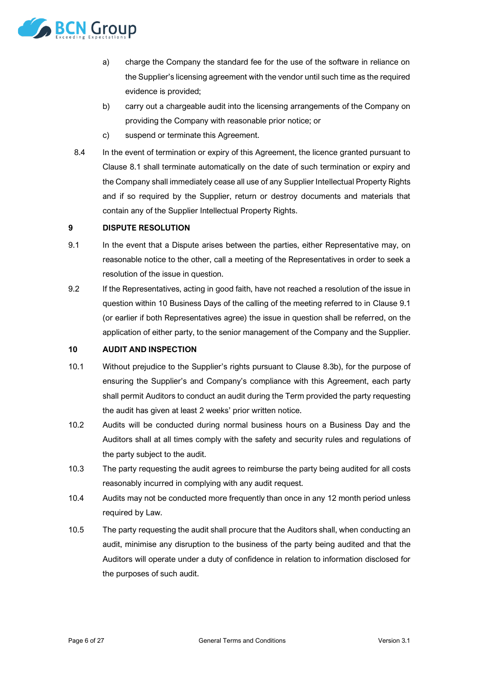

- a) charge the Company the standard fee for the use of the software in reliance on the Supplier's licensing agreement with the vendor until such time as the required evidence is provided;
- <span id="page-5-1"></span>b) carry out a chargeable audit into the licensing arrangements of the Company on providing the Company with reasonable prior notice; or
- c) suspend or terminate this Agreement.
- 8.4 In the event of termination or expiry of this Agreement, the licence granted pursuant to Clause [8.1](#page-4-1) shall terminate automatically on the date of such termination or expiry and the Company shall immediately cease all use of any Supplier Intellectual Property Rights and if so required by the Supplier, return or destroy documents and materials that contain any of the Supplier Intellectual Property Rights.

# **9 DISPUTE RESOLUTION**

- <span id="page-5-0"></span>9.1 In the event that a Dispute arises between the parties, either Representative may, on reasonable notice to the other, call a meeting of the Representatives in order to seek a resolution of the issue in question.
- 9.2 If the Representatives, acting in good faith, have not reached a resolution of the issue in question within 10 Business Days of the calling of the meeting referred to in Clause [9.1](#page-5-0) (or earlier if both Representatives agree) the issue in question shall be referred, on the application of either party, to the senior management of the Company and the Supplier.

# <span id="page-5-2"></span>**10 AUDIT AND INSPECTION**

- 10.1 Without prejudice to the Supplier's rights pursuant to Clause [8.3b\),](#page-5-1) for the purpose of ensuring the Supplier's and Company's compliance with this Agreement, each party shall permit Auditors to conduct an audit during the Term provided the party requesting the audit has given at least 2 weeks' prior written notice.
- 10.2 Audits will be conducted during normal business hours on a Business Day and the Auditors shall at all times comply with the safety and security rules and regulations of the party subject to the audit.
- 10.3 The party requesting the audit agrees to reimburse the party being audited for all costs reasonably incurred in complying with any audit request.
- 10.4 Audits may not be conducted more frequently than once in any 12 month period unless required by Law.
- 10.5 The party requesting the audit shall procure that the Auditors shall, when conducting an audit, minimise any disruption to the business of the party being audited and that the Auditors will operate under a duty of confidence in relation to information disclosed for the purposes of such audit.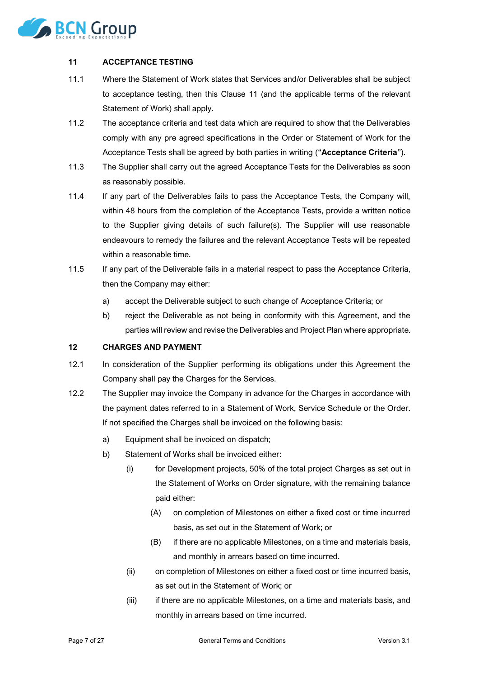

# <span id="page-6-0"></span>**11 ACCEPTANCE TESTING**

- 11.1 Where the Statement of Work states that Services and/or Deliverables shall be subject to acceptance testing, then this Clause [11](#page-6-0) (and the applicable terms of the relevant Statement of Work) shall apply.
- <span id="page-6-2"></span>11.2 The acceptance criteria and test data which are required to show that the Deliverables comply with any pre agreed specifications in the Order or Statement of Work for the Acceptance Tests shall be agreed by both parties in writing ("**Acceptance Criteria**").
- 11.3 The Supplier shall carry out the agreed Acceptance Tests for the Deliverables as soon as reasonably possible.
- 11.4 If any part of the Deliverables fails to pass the Acceptance Tests, the Company will, within 48 hours from the completion of the Acceptance Tests, provide a written notice to the Supplier giving details of such failure(s). The Supplier will use reasonable endeavours to remedy the failures and the relevant Acceptance Tests will be repeated within a reasonable time.
- 11.5 If any part of the Deliverable fails in a material respect to pass the Acceptance Criteria, then the Company may either:
	- a) accept the Deliverable subject to such change of Acceptance Criteria; or
	- b) reject the Deliverable as not being in conformity with this Agreement, and the parties will review and revise the Deliverables and Project Plan where appropriate.

# <span id="page-6-1"></span>**12 CHARGES AND PAYMENT**

- 12.1 In consideration of the Supplier performing its obligations under this Agreement the Company shall pay the Charges for the Services.
- 12.2 The Supplier may invoice the Company in advance for the Charges in accordance with the payment dates referred to in a Statement of Work, Service Schedule or the Order. If not specified the Charges shall be invoiced on the following basis:
	- a) Equipment shall be invoiced on dispatch;
	- b) Statement of Works shall be invoiced either:
		- (i) for Development projects, 50% of the total project Charges as set out in the Statement of Works on Order signature, with the remaining balance paid either:
			- (A) on completion of Milestones on either a fixed cost or time incurred basis, as set out in the Statement of Work; or
			- (B) if there are no applicable Milestones, on a time and materials basis, and monthly in arrears based on time incurred.
		- (ii) on completion of Milestones on either a fixed cost or time incurred basis, as set out in the Statement of Work; or
		- (iii) if there are no applicable Milestones, on a time and materials basis, and monthly in arrears based on time incurred.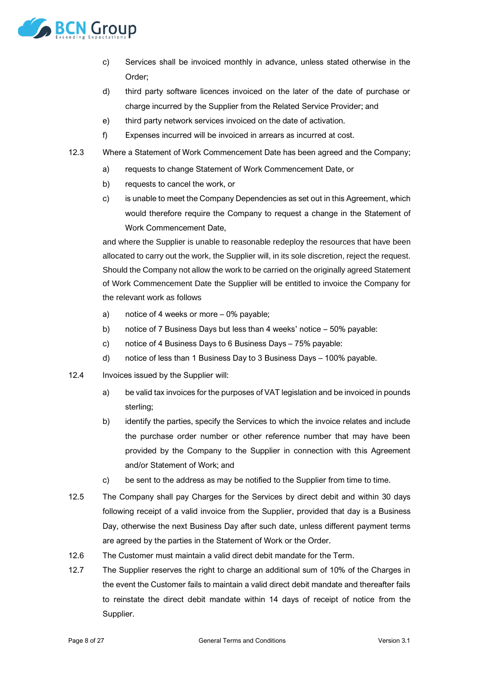

- c) Services shall be invoiced monthly in advance, unless stated otherwise in the Order;
- d) third party software licences invoiced on the later of the date of purchase or charge incurred by the Supplier from the Related Service Provider; and
- e) third party network services invoiced on the date of activation.
- f) Expenses incurred will be invoiced in arrears as incurred at cost.
- 12.3 Where a Statement of Work Commencement Date has been agreed and the Company;
	- a) requests to change Statement of Work Commencement Date, or
	- b) requests to cancel the work, or
	- c) is unable to meet the Company Dependencies as set out in this Agreement, which would therefore require the Company to request a change in the Statement of Work Commencement Date,

and where the Supplier is unable to reasonable redeploy the resources that have been allocated to carry out the work, the Supplier will, in its sole discretion, reject the request. Should the Company not allow the work to be carried on the originally agreed Statement of Work Commencement Date the Supplier will be entitled to invoice the Company for the relevant work as follows

- a) notice of 4 weeks or more 0% payable;
- b) notice of 7 Business Days but less than 4 weeks' notice 50% payable:
- c) notice of 4 Business Days to 6 Business Days 75% payable:
- d) notice of less than 1 Business Day to 3 Business Days 100% payable.
- 12.4 Invoices issued by the Supplier will:
	- a) be valid tax invoices for the purposes of VAT legislation and be invoiced in pounds sterling;
	- b) identify the parties, specify the Services to which the invoice relates and include the purchase order number or other reference number that may have been provided by the Company to the Supplier in connection with this Agreement and/or Statement of Work; and
	- c) be sent to the address as may be notified to the Supplier from time to time.
- 12.5 The Company shall pay Charges for the Services by direct debit and within 30 days following receipt of a valid invoice from the Supplier, provided that day is a Business Day, otherwise the next Business Day after such date, unless different payment terms are agreed by the parties in the Statement of Work or the Order.
- 12.6 The Customer must maintain a valid direct debit mandate for the Term.
- 12.7 The Supplier reserves the right to charge an additional sum of 10% of the Charges in the event the Customer fails to maintain a valid direct debit mandate and thereafter fails to reinstate the direct debit mandate within 14 days of receipt of notice from the Supplier.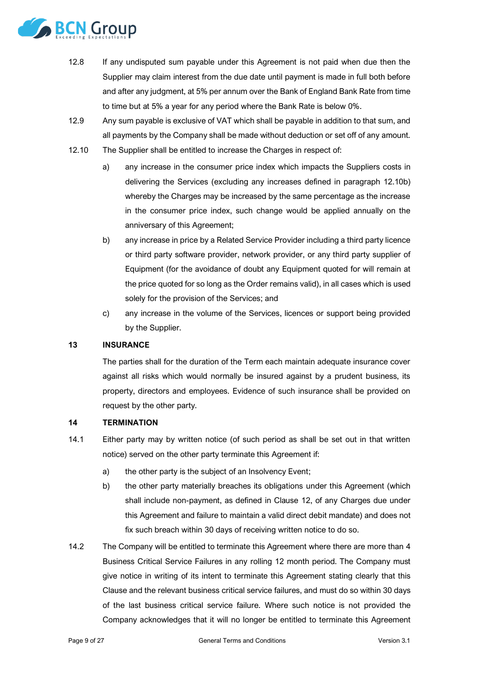

- 12.8 If any undisputed sum payable under this Agreement is not paid when due then the Supplier may claim interest from the due date until payment is made in full both before and after any judgment, at 5% per annum over the Bank of England Bank Rate from time to time but at 5% a year for any period where the Bank Rate is below 0%.
- 12.9 Any sum payable is exclusive of VAT which shall be payable in addition to that sum, and all payments by the Company shall be made without deduction or set off of any amount.
- <span id="page-8-0"></span>12.10 The Supplier shall be entitled to increase the Charges in respect of:
	- a) any increase in the consumer price index which impacts the Suppliers costs in delivering the Services (excluding any increases defined in paragraph [12.10b\)](#page-8-0) whereby the Charges may be increased by the same percentage as the increase in the consumer price index, such change would be applied annually on the anniversary of this Agreement;
	- b) any increase in price by a Related Service Provider including a third party licence or third party software provider, network provider, or any third party supplier of Equipment (for the avoidance of doubt any Equipment quoted for will remain at the price quoted for so long as the Order remains valid), in all cases which is used solely for the provision of the Services; and
	- c) any increase in the volume of the Services, licences or support being provided by the Supplier.

# **13 INSURANCE**

The parties shall for the duration of the Term each maintain adequate insurance cover against all risks which would normally be insured against by a prudent business, its property, directors and employees. Evidence of such insurance shall be provided on request by the other party.

# **14 TERMINATION**

- <span id="page-8-1"></span>14.1 Either party may by written notice (of such period as shall be set out in that written notice) served on the other party terminate this Agreement if:
	- a) the other party is the subject of an Insolvency Event;
	- b) the other party materially breaches its obligations under this Agreement (which shall include non-payment, as defined in Clause [12,](#page-6-1) of any Charges due under this Agreement and failure to maintain a valid direct debit mandate) and does not fix such breach within 30 days of receiving written notice to do so.
- <span id="page-8-2"></span>14.2 The Company will be entitled to terminate this Agreement where there are more than 4 Business Critical Service Failures in any rolling 12 month period. The Company must give notice in writing of its intent to terminate this Agreement stating clearly that this Clause and the relevant business critical service failures, and must do so within 30 days of the last business critical service failure. Where such notice is not provided the Company acknowledges that it will no longer be entitled to terminate this Agreement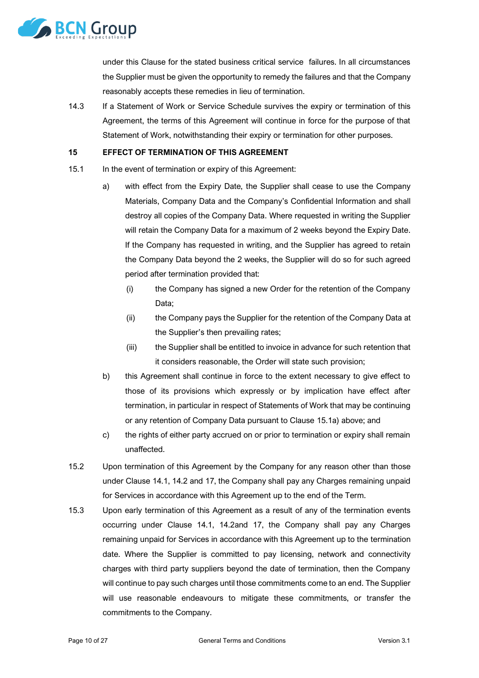

under this Clause for the stated business critical service failures. In all circumstances the Supplier must be given the opportunity to remedy the failures and that the Company reasonably accepts these remedies in lieu of termination.

14.3 If a Statement of Work or Service Schedule survives the expiry or termination of this Agreement, the terms of this Agreement will continue in force for the purpose of that Statement of Work, notwithstanding their expiry or termination for other purposes.

#### **15 EFFECT OF TERMINATION OF THIS AGREEMENT**

- <span id="page-9-0"></span>15.1 In the event of termination or expiry of this Agreement:
	- a) with effect from the Expiry Date, the Supplier shall cease to use the Company Materials, Company Data and the Company's Confidential Information and shall destroy all copies of the Company Data. Where requested in writing the Supplier will retain the Company Data for a maximum of 2 weeks beyond the Expiry Date. If the Company has requested in writing, and the Supplier has agreed to retain the Company Data beyond the 2 weeks, the Supplier will do so for such agreed period after termination provided that:
		- (i) the Company has signed a new Order for the retention of the Company Data;
		- (ii) the Company pays the Supplier for the retention of the Company Data at the Supplier's then prevailing rates;
		- (iii) the Supplier shall be entitled to invoice in advance for such retention that it considers reasonable, the Order will state such provision;
	- b) this Agreement shall continue in force to the extent necessary to give effect to those of its provisions which expressly or by implication have effect after termination, in particular in respect of Statements of Work that may be continuing or any retention of Company Data pursuant to Clause [15.1a\)](#page-9-0) above; and
	- c) the rights of either party accrued on or prior to termination or expiry shall remain unaffected.
- 15.2 Upon termination of this Agreement by the Company for any reason other than those under Clause [14.1,](#page-8-1) [14.2](#page-8-2) and [17,](#page-10-0) the Company shall pay any Charges remaining unpaid for Services in accordance with this Agreement up to the end of the Term.
- 15.3 Upon early termination of this Agreement as a result of any of the termination events occurring under Clause [14.1,](#page-8-1) [14.2a](#page-8-2)nd [17,](#page-10-0) the Company shall pay any Charges remaining unpaid for Services in accordance with this Agreement up to the termination date. Where the Supplier is committed to pay licensing, network and connectivity charges with third party suppliers beyond the date of termination, then the Company will continue to pay such charges until those commitments come to an end. The Supplier will use reasonable endeavours to mitigate these commitments, or transfer the commitments to the Company.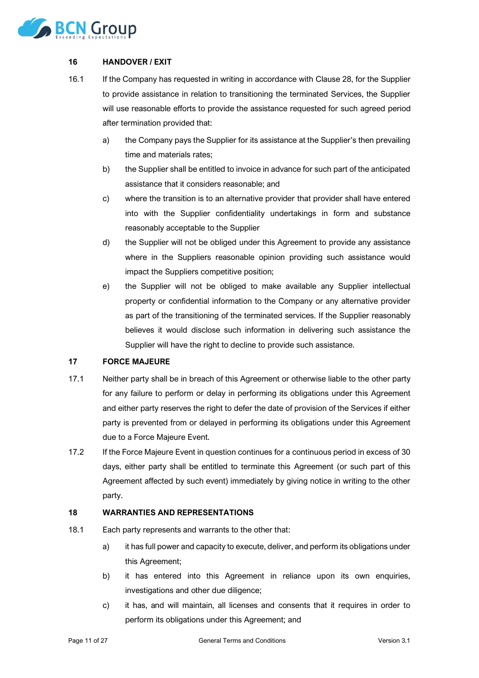

# **16 HANDOVER / EXIT**

- 16.1 If the Company has requested in writing in accordance with Clause [28,](#page-16-0) for the Supplier to provide assistance in relation to transitioning the terminated Services, the Supplier will use reasonable efforts to provide the assistance requested for such agreed period after termination provided that:
	- a) the Company pays the Supplier for its assistance at the Supplier's then prevailing time and materials rates;
	- b) the Supplier shall be entitled to invoice in advance for such part of the anticipated assistance that it considers reasonable; and
	- c) where the transition is to an alternative provider that provider shall have entered into with the Supplier confidentiality undertakings in form and substance reasonably acceptable to the Supplier
	- d) the Supplier will not be obliged under this Agreement to provide any assistance where in the Suppliers reasonable opinion providing such assistance would impact the Suppliers competitive position;
	- e) the Supplier will not be obliged to make available any Supplier intellectual property or confidential information to the Company or any alternative provider as part of the transitioning of the terminated services. If the Supplier reasonably believes it would disclose such information in delivering such assistance the Supplier will have the right to decline to provide such assistance.

# <span id="page-10-0"></span>**17 FORCE MAJEURE**

- 17.1 Neither party shall be in breach of this Agreement or otherwise liable to the other party for any failure to perform or delay in performing its obligations under this Agreement and either party reserves the right to defer the date of provision of the Services if either party is prevented from or delayed in performing its obligations under this Agreement due to a Force Majeure Event.
- 17.2 If the Force Majeure Event in question continues for a continuous period in excess of 30 days, either party shall be entitled to terminate this Agreement (or such part of this Agreement affected by such event) immediately by giving notice in writing to the other party.

#### **18 WARRANTIES AND REPRESENTATIONS**

- 18.1 Each party represents and warrants to the other that:
	- a) it has full power and capacity to execute, deliver, and perform its obligations under this Agreement;
	- b) it has entered into this Agreement in reliance upon its own enquiries, investigations and other due diligence;
	- c) it has, and will maintain, all licenses and consents that it requires in order to perform its obligations under this Agreement; and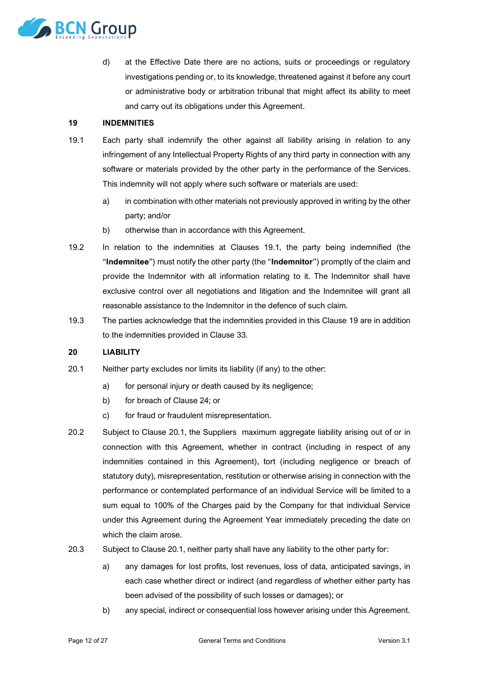

d) at the Effective Date there are no actions, suits or proceedings or regulatory investigations pending or, to its knowledge, threatened against it before any court or administrative body or arbitration tribunal that might affect its ability to meet and carry out its obligations under this Agreement.

#### <span id="page-11-1"></span>**19 INDEMNITIES**

- <span id="page-11-0"></span>19.1 Each party shall indemnify the other against all liability arising in relation to any infringement of any Intellectual Property Rights of any third party in connection with any software or materials provided by the other party in the performance of the Services. This indemnity will not apply where such software or materials are used:
	- a) in combination with other materials not previously approved in writing by the other party; and/or
	- b) otherwise than in accordance with this Agreement.
- 19.2 In relation to the indemnities at Clauses [19.1,](#page-11-0) the party being indemnified (the "**Indemnitee**") must notify the other party (the "**Indemnitor**") promptly of the claim and provide the Indemnitor with all information relating to it. The Indemnitor shall have exclusive control over all negotiations and litigation and the Indemnitee will grant all reasonable assistance to the Indemnitor in the defence of such claim.
- 19.3 The parties acknowledge that the indemnities provided in this Claus[e 19](#page-11-1) are in addition to the indemnities provided in Clause [33.](#page-17-0)

# **20 LIABILITY**

- <span id="page-11-2"></span>20.1 Neither party excludes nor limits its liability (if any) to the other:
	- a) for personal injury or death caused by its negligence;
	- b) for breach of Clause [24;](#page-14-0) or
	- c) for fraud or fraudulent misrepresentation.
- 20.2 Subject to Clause [20.1,](#page-11-2) the Suppliers maximum aggregate liability arising out of or in connection with this Agreement, whether in contract (including in respect of any indemnities contained in this Agreement), tort (including negligence or breach of statutory duty), misrepresentation, restitution or otherwise arising in connection with the performance or contemplated performance of an individual Service will be limited to a sum equal to 100% of the Charges paid by the Company for that individual Service under this Agreement during the Agreement Year immediately preceding the date on which the claim arose.
- 20.3 Subject to Clause [20.1,](#page-11-2) neither party shall have any liability to the other party for:
	- a) any damages for lost profits, lost revenues, loss of data, anticipated savings, in each case whether direct or indirect (and regardless of whether either party has been advised of the possibility of such losses or damages); or
	- b) any special, indirect or consequential loss however arising under this Agreement.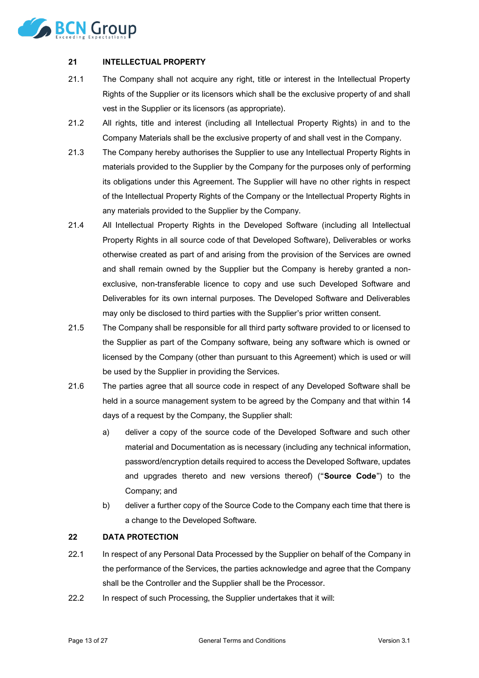

# **21 INTELLECTUAL PROPERTY**

- 21.1 The Company shall not acquire any right, title or interest in the Intellectual Property Rights of the Supplier or its licensors which shall be the exclusive property of and shall vest in the Supplier or its licensors (as appropriate).
- 21.2 All rights, title and interest (including all Intellectual Property Rights) in and to the Company Materials shall be the exclusive property of and shall vest in the Company.
- 21.3 The Company hereby authorises the Supplier to use any Intellectual Property Rights in materials provided to the Supplier by the Company for the purposes only of performing its obligations under this Agreement. The Supplier will have no other rights in respect of the Intellectual Property Rights of the Company or the Intellectual Property Rights in any materials provided to the Supplier by the Company.
- 21.4 All Intellectual Property Rights in the Developed Software (including all Intellectual Property Rights in all source code of that Developed Software), Deliverables or works otherwise created as part of and arising from the provision of the Services are owned and shall remain owned by the Supplier but the Company is hereby granted a nonexclusive, non-transferable licence to copy and use such Developed Software and Deliverables for its own internal purposes. The Developed Software and Deliverables may only be disclosed to third parties with the Supplier's prior written consent.
- 21.5 The Company shall be responsible for all third party software provided to or licensed to the Supplier as part of the Company software, being any software which is owned or licensed by the Company (other than pursuant to this Agreement) which is used or will be used by the Supplier in providing the Services.
- <span id="page-12-1"></span>21.6 The parties agree that all source code in respect of any Developed Software shall be held in a source management system to be agreed by the Company and that within 14 days of a request by the Company, the Supplier shall:
	- a) deliver a copy of the source code of the Developed Software and such other material and Documentation as is necessary (including any technical information, password/encryption details required to access the Developed Software, updates and upgrades thereto and new versions thereof) ("**Source Code**") to the Company; and
	- b) deliver a further copy of the Source Code to the Company each time that there is a change to the Developed Software.

# <span id="page-12-0"></span>**22 DATA PROTECTION**

- 22.1 In respect of any Personal Data Processed by the Supplier on behalf of the Company in the performance of the Services, the parties acknowledge and agree that the Company shall be the Controller and the Supplier shall be the Processor.
- 22.2 In respect of such Processing, the Supplier undertakes that it will: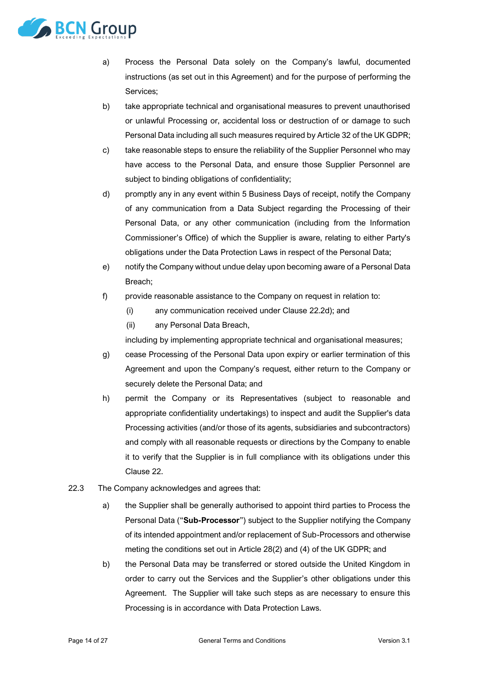

- a) Process the Personal Data solely on the Company's lawful, documented instructions (as set out in this Agreement) and for the purpose of performing the Services;
- b) take appropriate technical and organisational measures to prevent unauthorised or unlawful Processing or, accidental loss or destruction of or damage to such Personal Data including all such measures required by Article 32 of the UK GDPR;
- c) take reasonable steps to ensure the reliability of the Supplier Personnel who may have access to the Personal Data, and ensure those Supplier Personnel are subject to binding obligations of confidentiality;
- <span id="page-13-0"></span>d) promptly any in any event within 5 Business Days of receipt, notify the Company of any communication from a Data Subject regarding the Processing of their Personal Data, or any other communication (including from the Information Commissioner's Office) of which the Supplier is aware, relating to either Party's obligations under the Data Protection Laws in respect of the Personal Data;
- e) notify the Company without undue delay upon becoming aware of a Personal Data Breach;
- f) provide reasonable assistance to the Company on request in relation to:
	- (i) any communication received under Clause [22.2d\);](#page-13-0) and
	- (ii) any Personal Data Breach,

including by implementing appropriate technical and organisational measures;

- g) cease Processing of the Personal Data upon expiry or earlier termination of this Agreement and upon the Company's request, either return to the Company or securely delete the Personal Data; and
- h) permit the Company or its Representatives (subject to reasonable and appropriate confidentiality undertakings) to inspect and audit the Supplier's data Processing activities (and/or those of its agents, subsidiaries and subcontractors) and comply with all reasonable requests or directions by the Company to enable it to verify that the Supplier is in full compliance with its obligations under this Clause [22.](#page-12-0)
- 22.3 The Company acknowledges and agrees that:
	- a) the Supplier shall be generally authorised to appoint third parties to Process the Personal Data ("**Sub-Processor**") subject to the Supplier notifying the Company of its intended appointment and/or replacement of Sub-Processors and otherwise meting the conditions set out in Article 28(2) and (4) of the UK GDPR; and
	- b) the Personal Data may be transferred or stored outside the United Kingdom in order to carry out the Services and the Supplier's other obligations under this Agreement. The Supplier will take such steps as are necessary to ensure this Processing is in accordance with Data Protection Laws.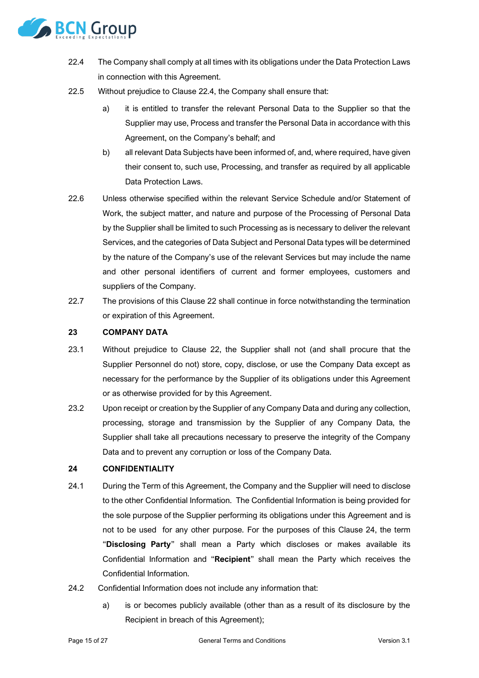

- <span id="page-14-1"></span>22.4 The Company shall comply at all times with its obligations under the Data Protection Laws in connection with this Agreement.
- 22.5 Without prejudice to Clause [22.4,](#page-14-1) the Company shall ensure that:
	- a) it is entitled to transfer the relevant Personal Data to the Supplier so that the Supplier may use, Process and transfer the Personal Data in accordance with this Agreement, on the Company's behalf; and
	- b) all relevant Data Subjects have been informed of, and, where required, have given their consent to, such use, Processing, and transfer as required by all applicable Data Protection Laws.
- 22.6 Unless otherwise specified within the relevant Service Schedule and/or Statement of Work, the subject matter, and nature and purpose of the Processing of Personal Data by the Supplier shall be limited to such Processing as is necessary to deliver the relevant Services, and the categories of Data Subject and Personal Data types will be determined by the nature of the Company's use of the relevant Services but may include the name and other personal identifiers of current and former employees, customers and suppliers of the Company.
- 22.7 The provisions of this Claus[e 22](#page-12-0) shall continue in force notwithstanding the termination or expiration of this Agreement.

# **23 COMPANY DATA**

- 23.1 Without prejudice to Clause [22,](#page-12-0) the Supplier shall not (and shall procure that the Supplier Personnel do not) store, copy, disclose, or use the Company Data except as necessary for the performance by the Supplier of its obligations under this Agreement or as otherwise provided for by this Agreement.
- 23.2 Upon receipt or creation by the Supplier of any Company Data and during any collection, processing, storage and transmission by the Supplier of any Company Data, the Supplier shall take all precautions necessary to preserve the integrity of the Company Data and to prevent any corruption or loss of the Company Data.

#### <span id="page-14-0"></span>**24 CONFIDENTIALITY**

- 24.1 During the Term of this Agreement, the Company and the Supplier will need to disclose to the other Confidential Information. The Confidential Information is being provided for the sole purpose of the Supplier performing its obligations under this Agreement and is not to be used for any other purpose. For the purposes of this Clause [24,](#page-14-0) the term "**Disclosing Party**" shall mean a Party which discloses or makes available its Confidential Information and "**Recipient**" shall mean the Party which receives the Confidential Information.
- 24.2 Confidential Information does not include any information that:
	- a) is or becomes publicly available (other than as a result of its disclosure by the Recipient in breach of this Agreement);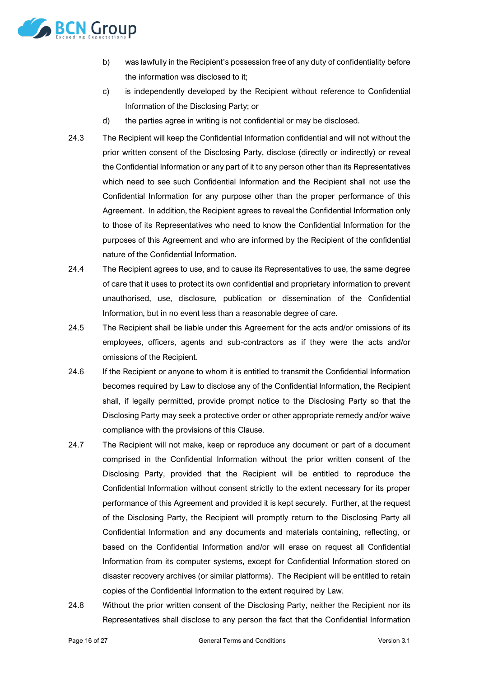

- b) was lawfully in the Recipient's possession free of any duty of confidentiality before the information was disclosed to it;
- c) is independently developed by the Recipient without reference to Confidential Information of the Disclosing Party; or
- d) the parties agree in writing is not confidential or may be disclosed.
- 24.3 The Recipient will keep the Confidential Information confidential and will not without the prior written consent of the Disclosing Party, disclose (directly or indirectly) or reveal the Confidential Information or any part of it to any person other than its Representatives which need to see such Confidential Information and the Recipient shall not use the Confidential Information for any purpose other than the proper performance of this Agreement. In addition, the Recipient agrees to reveal the Confidential Information only to those of its Representatives who need to know the Confidential Information for the purposes of this Agreement and who are informed by the Recipient of the confidential nature of the Confidential Information.
- 24.4 The Recipient agrees to use, and to cause its Representatives to use, the same degree of care that it uses to protect its own confidential and proprietary information to prevent unauthorised, use, disclosure, publication or dissemination of the Confidential Information, but in no event less than a reasonable degree of care.
- 24.5 The Recipient shall be liable under this Agreement for the acts and/or omissions of its employees, officers, agents and sub-contractors as if they were the acts and/or omissions of the Recipient.
- 24.6 If the Recipient or anyone to whom it is entitled to transmit the Confidential Information becomes required by Law to disclose any of the Confidential Information, the Recipient shall, if legally permitted, provide prompt notice to the Disclosing Party so that the Disclosing Party may seek a protective order or other appropriate remedy and/or waive compliance with the provisions of this Clause.
- 24.7 The Recipient will not make, keep or reproduce any document or part of a document comprised in the Confidential Information without the prior written consent of the Disclosing Party, provided that the Recipient will be entitled to reproduce the Confidential Information without consent strictly to the extent necessary for its proper performance of this Agreement and provided it is kept securely. Further, at the request of the Disclosing Party, the Recipient will promptly return to the Disclosing Party all Confidential Information and any documents and materials containing, reflecting, or based on the Confidential Information and/or will erase on request all Confidential Information from its computer systems, except for Confidential Information stored on disaster recovery archives (or similar platforms). The Recipient will be entitled to retain copies of the Confidential Information to the extent required by Law.
- 24.8 Without the prior written consent of the Disclosing Party, neither the Recipient nor its Representatives shall disclose to any person the fact that the Confidential Information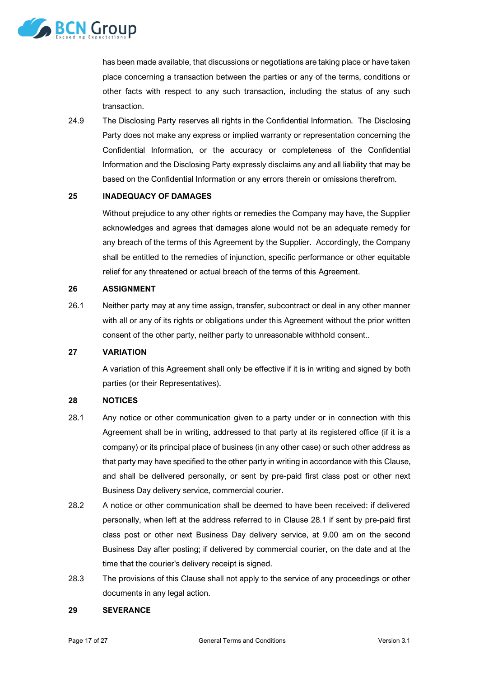

has been made available, that discussions or negotiations are taking place or have taken place concerning a transaction between the parties or any of the terms, conditions or other facts with respect to any such transaction, including the status of any such transaction.

24.9 The Disclosing Party reserves all rights in the Confidential Information. The Disclosing Party does not make any express or implied warranty or representation concerning the Confidential Information, or the accuracy or completeness of the Confidential Information and the Disclosing Party expressly disclaims any and all liability that may be based on the Confidential Information or any errors therein or omissions therefrom.

# **25 INADEQUACY OF DAMAGES**

Without prejudice to any other rights or remedies the Company may have, the Supplier acknowledges and agrees that damages alone would not be an adequate remedy for any breach of the terms of this Agreement by the Supplier. Accordingly, the Company shall be entitled to the remedies of injunction, specific performance or other equitable relief for any threatened or actual breach of the terms of this Agreement.

# **26 ASSIGNMENT**

26.1 Neither party may at any time assign, transfer, subcontract or deal in any other manner with all or any of its rights or obligations under this Agreement without the prior written consent of the other party, neither party to unreasonable withhold consent..

# **27 VARIATION**

A variation of this Agreement shall only be effective if it is in writing and signed by both parties (or their Representatives).

# <span id="page-16-0"></span>**28 NOTICES**

- <span id="page-16-1"></span>28.1 Any notice or other communication given to a party under or in connection with this Agreement shall be in writing, addressed to that party at its registered office (if it is a company) or its principal place of business (in any other case) or such other address as that party may have specified to the other party in writing in accordance with this Clause, and shall be delivered personally, or sent by pre-paid first class post or other next Business Day delivery service, commercial courier.
- 28.2 A notice or other communication shall be deemed to have been received: if delivered personally, when left at the address referred to in Clause [28.1](#page-16-1) if sent by pre-paid first class post or other next Business Day delivery service, at 9.00 am on the second Business Day after posting; if delivered by commercial courier, on the date and at the time that the courier's delivery receipt is signed.
- 28.3 The provisions of this Clause shall not apply to the service of any proceedings or other documents in any legal action.

#### **29 SEVERANCE**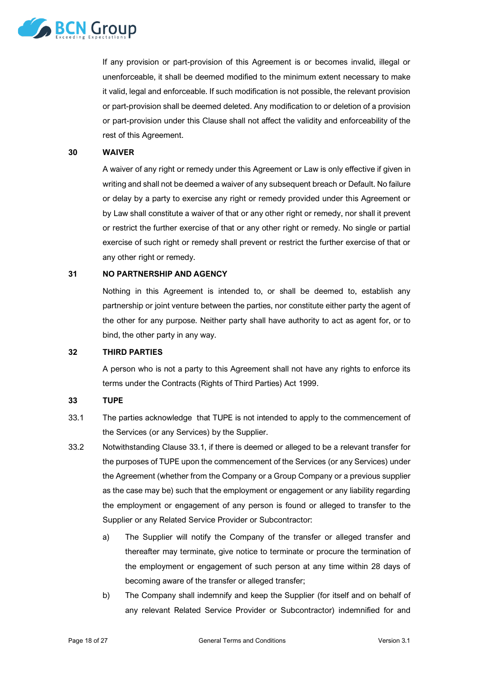

If any provision or part-provision of this Agreement is or becomes invalid, illegal or unenforceable, it shall be deemed modified to the minimum extent necessary to make it valid, legal and enforceable. If such modification is not possible, the relevant provision or part-provision shall be deemed deleted. Any modification to or deletion of a provision or part-provision under this Clause shall not affect the validity and enforceability of the rest of this Agreement.

#### **30 WAIVER**

A waiver of any right or remedy under this Agreement or Law is only effective if given in writing and shall not be deemed a waiver of any subsequent breach or Default. No failure or delay by a party to exercise any right or remedy provided under this Agreement or by Law shall constitute a waiver of that or any other right or remedy, nor shall it prevent or restrict the further exercise of that or any other right or remedy. No single or partial exercise of such right or remedy shall prevent or restrict the further exercise of that or any other right or remedy.

#### **31 NO PARTNERSHIP AND AGENCY**

Nothing in this Agreement is intended to, or shall be deemed to, establish any partnership or joint venture between the parties, nor constitute either party the agent of the other for any purpose. Neither party shall have authority to act as agent for, or to bind, the other party in any way.

# **32 THIRD PARTIES**

<span id="page-17-3"></span>A person who is not a party to this Agreement shall not have any rights to enforce its terms under the Contracts (Rights of Third Parties) Act 1999.

# <span id="page-17-0"></span>**33 TUPE**

- <span id="page-17-1"></span>33.1 The parties acknowledge that TUPE is not intended to apply to the commencement of the Services (or any Services) by the Supplier.
- <span id="page-17-4"></span><span id="page-17-2"></span>33.2 Notwithstanding Clause [33.1,](#page-17-1) if there is deemed or alleged to be a relevant transfer for the purposes of TUPE upon the commencement of the Services (or any Services) under the Agreement (whether from the Company or a Group Company or a previous supplier as the case may be) such that the employment or engagement or any liability regarding the employment or engagement of any person is found or alleged to transfer to the Supplier or any Related Service Provider or Subcontractor:
	- a) The Supplier will notify the Company of the transfer or alleged transfer and thereafter may terminate, give notice to terminate or procure the termination of the employment or engagement of such person at any time within 28 days of becoming aware of the transfer or alleged transfer;
	- b) The Company shall indemnify and keep the Supplier (for itself and on behalf of any relevant Related Service Provider or Subcontractor) indemnified for and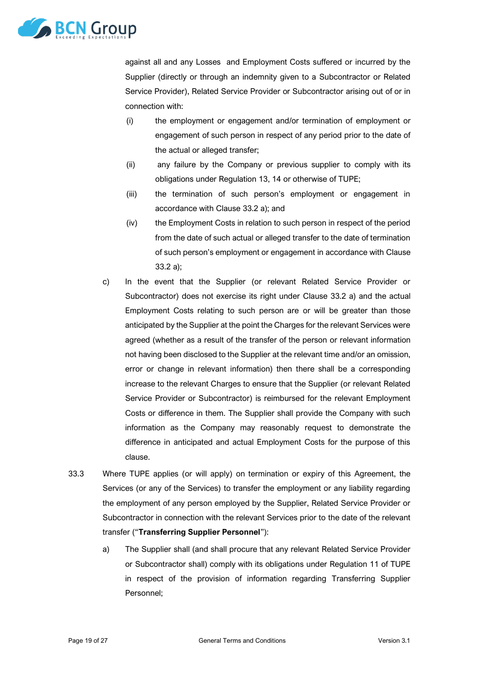

against all and any Losses and Employment Costs suffered or incurred by the Supplier (directly or through an indemnity given to a Subcontractor or Related Service Provider), Related Service Provider or Subcontractor arising out of or in connection with:

- (i) the employment or engagement and/or termination of employment or engagement of such person in respect of any period prior to the date of the actual or alleged transfer;
- (ii) any failure by the Company or previous supplier to comply with its obligations under Regulation 13, 14 or otherwise of TUPE;
- (iii) the termination of such person's employment or engagement in accordance with Clause [33.2](#page-17-2) [a\);](#page-17-3) and
- (iv) the Employment Costs in relation to such person in respect of the period from the date of such actual or alleged transfer to the date of termination of such person's employment or engagement in accordance with Clause [33.2](#page-17-2) [a\);](#page-17-3)
- c) In the event that the Supplier (or relevant Related Service Provider or Subcontractor) does not exercise its right under Clause [33.2](#page-17-2) [a\)](#page-17-3) and the actual Employment Costs relating to such person are or will be greater than those anticipated by the Supplier at the point the Charges for the relevant Services were agreed (whether as a result of the transfer of the person or relevant information not having been disclosed to the Supplier at the relevant time and/or an omission, error or change in relevant information) then there shall be a corresponding increase to the relevant Charges to ensure that the Supplier (or relevant Related Service Provider or Subcontractor) is reimbursed for the relevant Employment Costs or difference in them. The Supplier shall provide the Company with such information as the Company may reasonably request to demonstrate the difference in anticipated and actual Employment Costs for the purpose of this clause.
- <span id="page-18-0"></span>33.3 Where TUPE applies (or will apply) on termination or expiry of this Agreement, the Services (or any of the Services) to transfer the employment or any liability regarding the employment of any person employed by the Supplier, Related Service Provider or Subcontractor in connection with the relevant Services prior to the date of the relevant transfer ("**Transferring Supplier Personnel**"):
	- a) The Supplier shall (and shall procure that any relevant Related Service Provider or Subcontractor shall) comply with its obligations under Regulation 11 of TUPE in respect of the provision of information regarding Transferring Supplier Personnel;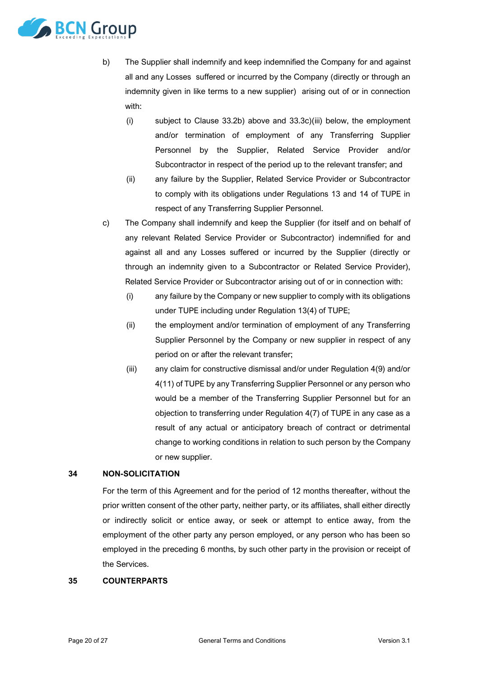

- b) The Supplier shall indemnify and keep indemnified the Company for and against all and any Losses suffered or incurred by the Company (directly or through an indemnity given in like terms to a new supplier) arising out of or in connection with:
	- (i) subject to Clause [33.2b\)](#page-17-4) above and [33.3](#page-18-0)[c\)\(iii\)](#page-19-0) below, the employment and/or termination of employment of any Transferring Supplier Personnel by the Supplier, Related Service Provider and/or Subcontractor in respect of the period up to the relevant transfer; and
	- (ii) any failure by the Supplier, Related Service Provider or Subcontractor to comply with its obligations under Regulations 13 and 14 of TUPE in respect of any Transferring Supplier Personnel.
- c) The Company shall indemnify and keep the Supplier (for itself and on behalf of any relevant Related Service Provider or Subcontractor) indemnified for and against all and any Losses suffered or incurred by the Supplier (directly or through an indemnity given to a Subcontractor or Related Service Provider), Related Service Provider or Subcontractor arising out of or in connection with:
	- (i) any failure by the Company or new supplier to comply with its obligations under TUPE including under Regulation 13(4) of TUPE;
	- (ii) the employment and/or termination of employment of any Transferring Supplier Personnel by the Company or new supplier in respect of any period on or after the relevant transfer;
	- (iii) any claim for constructive dismissal and/or under Regulation 4(9) and/or 4(11) of TUPE by any Transferring Supplier Personnel or any person who would be a member of the Transferring Supplier Personnel but for an objection to transferring under Regulation 4(7) of TUPE in any case as a result of any actual or anticipatory breach of contract or detrimental change to working conditions in relation to such person by the Company or new supplier.

# <span id="page-19-0"></span>**34 NON-SOLICITATION**

For the term of this Agreement and for the period of 12 months thereafter, without the prior written consent of the other party, neither party, or its affiliates, shall either directly or indirectly solicit or entice away, or seek or attempt to entice away, from the employment of the other party any person employed, or any person who has been so employed in the preceding 6 months, by such other party in the provision or receipt of the Services.

#### **35 COUNTERPARTS**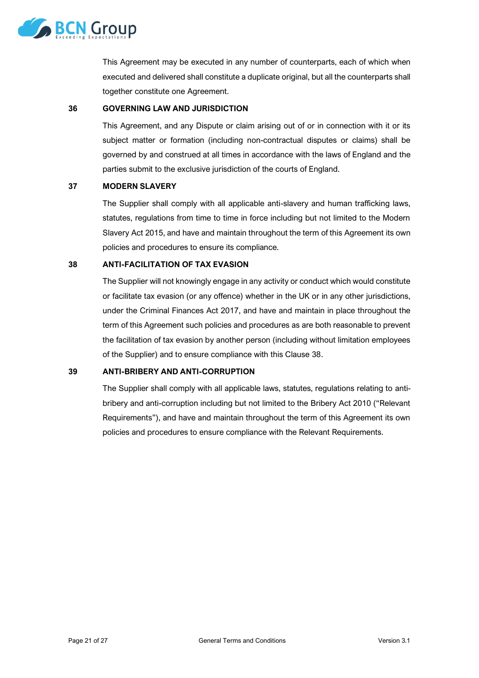

This Agreement may be executed in any number of counterparts, each of which when executed and delivered shall constitute a duplicate original, but all the counterparts shall together constitute one Agreement.

#### **36 GOVERNING LAW AND JURISDICTION**

This Agreement, and any Dispute or claim arising out of or in connection with it or its subject matter or formation (including non-contractual disputes or claims) shall be governed by and construed at all times in accordance with the laws of England and the parties submit to the exclusive jurisdiction of the courts of England.

#### **37 MODERN SLAVERY**

The Supplier shall comply with all applicable anti-slavery and human trafficking laws, statutes, regulations from time to time in force including but not limited to the Modern Slavery Act 2015, and have and maintain throughout the term of this Agreement its own policies and procedures to ensure its compliance.

#### **38 ANTI-FACILITATION OF TAX EVASION**

The Supplier will not knowingly engage in any activity or conduct which would constitute or facilitate tax evasion (or any offence) whether in the UK or in any other jurisdictions, under the Criminal Finances Act 2017, and have and maintain in place throughout the term of this Agreement such policies and procedures as are both reasonable to prevent the facilitation of tax evasion by another person (including without limitation employees of the Supplier) and to ensure compliance with this Clause 38.

# **39 ANTI-BRIBERY AND ANTI-CORRUPTION**

The Supplier shall comply with all applicable laws, statutes, regulations relating to antibribery and anti-corruption including but not limited to the Bribery Act 2010 ("Relevant Requirements"), and have and maintain throughout the term of this Agreement its own policies and procedures to ensure compliance with the Relevant Requirements.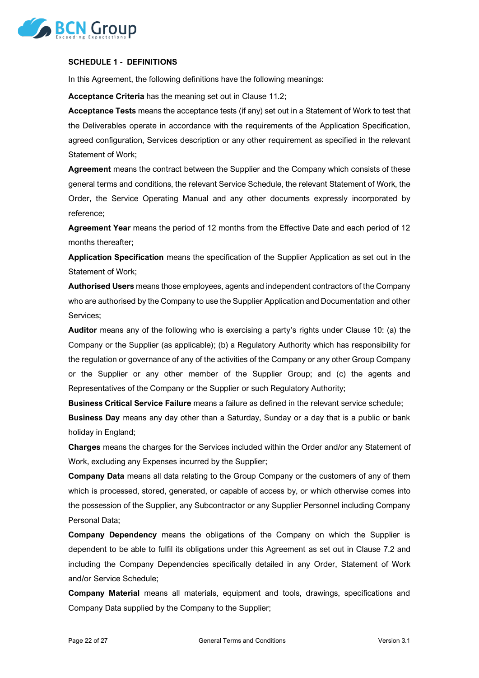

#### **SCHEDULE 1 - DEFINITIONS**

In this Agreement, the following definitions have the following meanings:

**Acceptance Criteria** has the meaning set out in Clause [11.2;](#page-6-2)

**Acceptance Tests** means the acceptance tests (if any) set out in a Statement of Work to test that the Deliverables operate in accordance with the requirements of the Application Specification, agreed configuration, Services description or any other requirement as specified in the relevant Statement of Work;

**Agreement** means the contract between the Supplier and the Company which consists of these general terms and conditions, the relevant Service Schedule, the relevant Statement of Work, the Order, the Service Operating Manual and any other documents expressly incorporated by reference;

**Agreement Year** means the period of 12 months from the Effective Date and each period of 12 months thereafter;

**Application Specification** means the specification of the Supplier Application as set out in the Statement of Work;

**Authorised Users** means those employees, agents and independent contractors of the Company who are authorised by the Company to use the Supplier Application and Documentation and other Services;

**Auditor** means any of the following who is exercising a party's rights under Clause [10:](#page-5-2) (a) the Company or the Supplier (as applicable); (b) a Regulatory Authority which has responsibility for the regulation or governance of any of the activities of the Company or any other Group Company or the Supplier or any other member of the Supplier Group; and (c) the agents and Representatives of the Company or the Supplier or such Regulatory Authority;

**Business Critical Service Failure** means a failure as defined in the relevant service schedule;

**Business Day** means any day other than a Saturday, Sunday or a day that is a public or bank holiday in England;

**Charges** means the charges for the Services included within the Order and/or any Statement of Work, excluding any Expenses incurred by the Supplier;

**Company Data** means all data relating to the Group Company or the customers of any of them which is processed, stored, generated, or capable of access by, or which otherwise comes into the possession of the Supplier, any Subcontractor or any Supplier Personnel including Company Personal Data;

**Company Dependency** means the obligations of the Company on which the Supplier is dependent to be able to fulfil its obligations under this Agreement as set out in Clause [7.2](#page-3-0) and including the Company Dependencies specifically detailed in any Order, Statement of Work and/or Service Schedule;

**Company Material** means all materials, equipment and tools, drawings, specifications and Company Data supplied by the Company to the Supplier;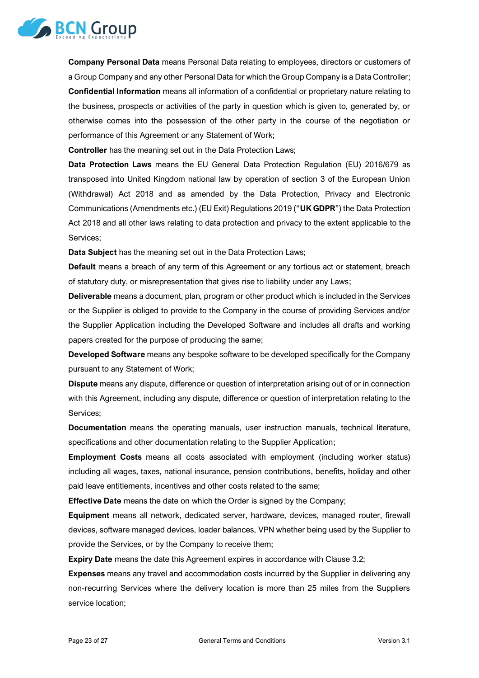

**Company Personal Data** means Personal Data relating to employees, directors or customers of a Group Company and any other Personal Data for which the Group Company is a Data Controller; **Confidential Information** means all information of a confidential or proprietary nature relating to the business, prospects or activities of the party in question which is given to, generated by, or otherwise comes into the possession of the other party in the course of the negotiation or performance of this Agreement or any Statement of Work;

**Controller** has the meaning set out in the Data Protection Laws;

**Data Protection Laws** means the EU General Data Protection Regulation (EU) 2016/679 as transposed into United Kingdom national law by operation of section 3 of the European Union (Withdrawal) Act 2018 and as amended by the Data Protection, Privacy and Electronic Communications (Amendments etc.) (EU Exit) Regulations 2019 ("**UK GDPR**") the Data Protection Act 2018 and all other laws relating to data protection and privacy to the extent applicable to the Services;

**Data Subject** has the meaning set out in the Data Protection Laws;

**Default** means a breach of any term of this Agreement or any tortious act or statement, breach of statutory duty, or misrepresentation that gives rise to liability under any Laws;

**Deliverable** means a document, plan, program or other product which is included in the Services or the Supplier is obliged to provide to the Company in the course of providing Services and/or the Supplier Application including the Developed Software and includes all drafts and working papers created for the purpose of producing the same;

**Developed Software** means any bespoke software to be developed specifically for the Company pursuant to any Statement of Work;

**Dispute** means any dispute, difference or question of interpretation arising out of or in connection with this Agreement, including any dispute, difference or question of interpretation relating to the Services;

**Documentation** means the operating manuals, user instruction manuals, technical literature, specifications and other documentation relating to the Supplier Application;

**Employment Costs** means all costs associated with employment (including worker status) including all wages, taxes, national insurance, pension contributions, benefits, holiday and other paid leave entitlements, incentives and other costs related to the same;

**Effective Date** means the date on which the Order is signed by the Company;

**Equipment** means all network, dedicated server, hardware, devices, managed router, firewall devices, software managed devices, loader balances, VPN whether being used by the Supplier to provide the Services, or by the Company to receive them;

**Expiry Date** means the date this Agreement expires in accordance with Claus[e 3.2;](#page-2-1)

**Expenses** means any travel and accommodation costs incurred by the Supplier in delivering any non-recurring Services where the delivery location is more than 25 miles from the Suppliers service location;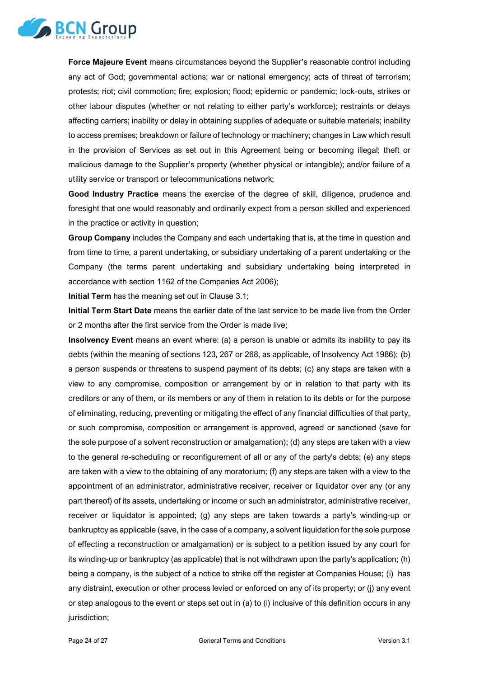

**Force Majeure Event** means circumstances beyond the Supplier's reasonable control including any act of God; governmental actions; war or national emergency; acts of threat of terrorism; protests; riot; civil commotion; fire; explosion; flood; epidemic or pandemic; lock-outs, strikes or other labour disputes (whether or not relating to either party's workforce); restraints or delays affecting carriers; inability or delay in obtaining supplies of adequate or suitable materials; inability to access premises; breakdown or failure of technology or machinery; changes in Law which result in the provision of Services as set out in this Agreement being or becoming illegal; theft or malicious damage to the Supplier's property (whether physical or intangible); and/or failure of a utility service or transport or telecommunications network;

**Good Industry Practice** means the exercise of the degree of skill, diligence, prudence and foresight that one would reasonably and ordinarily expect from a person skilled and experienced in the practice or activity in question;

**Group Company** includes the Company and each undertaking that is, at the time in question and from time to time, a parent undertaking, or subsidiary undertaking of a parent undertaking or the Company (the terms parent undertaking and subsidiary undertaking being interpreted in accordance with section 1162 of the Companies Act 2006);

**Initial Term** has the meaning set out in Clause [3.1;](#page-1-0)

**Initial Term Start Date** means the earlier date of the last service to be made live from the Order or 2 months after the first service from the Order is made live;

**Insolvency Event** means an event where: (a) a person is unable or admits its inability to pay its debts (within the meaning of sections 123, 267 or 268, as applicable, of Insolvency Act 1986); (b) a person suspends or threatens to suspend payment of its debts; (c) any steps are taken with a view to any compromise, composition or arrangement by or in relation to that party with its creditors or any of them, or its members or any of them in relation to its debts or for the purpose of eliminating, reducing, preventing or mitigating the effect of any financial difficulties of that party, or such compromise, composition or arrangement is approved, agreed or sanctioned (save for the sole purpose of a solvent reconstruction or amalgamation); (d) any steps are taken with a view to the general re-scheduling or reconfigurement of all or any of the party's debts; (e) any steps are taken with a view to the obtaining of any moratorium; (f) any steps are taken with a view to the appointment of an administrator, administrative receiver, receiver or liquidator over any (or any part thereof) of its assets, undertaking or income or such an administrator, administrative receiver, receiver or liquidator is appointed; (g) any steps are taken towards a party's winding-up or bankruptcy as applicable (save, in the case of a company, a solvent liquidation for the sole purpose of effecting a reconstruction or amalgamation) or is subject to a petition issued by any court for its winding-up or bankruptcy (as applicable) that is not withdrawn upon the party's application; (h) being a company, is the subject of a notice to strike off the register at Companies House; (i) has any distraint, execution or other process levied or enforced on any of its property; or (j) any event or step analogous to the event or steps set out in (a) to (i) inclusive of this definition occurs in any jurisdiction: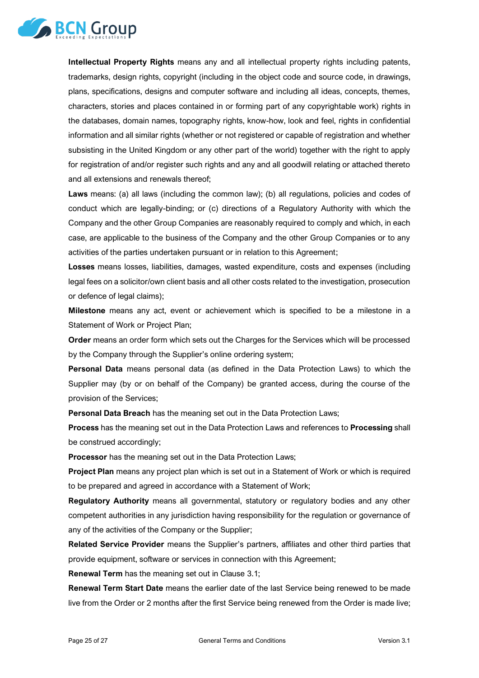

**Intellectual Property Rights** means any and all intellectual property rights including patents, trademarks, design rights, copyright (including in the object code and source code, in drawings, plans, specifications, designs and computer software and including all ideas, concepts, themes, characters, stories and places contained in or forming part of any copyrightable work) rights in the databases, domain names, topography rights, know-how, look and feel, rights in confidential information and all similar rights (whether or not registered or capable of registration and whether subsisting in the United Kingdom or any other part of the world) together with the right to apply for registration of and/or register such rights and any and all goodwill relating or attached thereto and all extensions and renewals thereof;

**Laws** means: (a) all laws (including the common law); (b) all regulations, policies and codes of conduct which are legally-binding; or (c) directions of a Regulatory Authority with which the Company and the other Group Companies are reasonably required to comply and which, in each case, are applicable to the business of the Company and the other Group Companies or to any activities of the parties undertaken pursuant or in relation to this Agreement;

**Losses** means losses, liabilities, damages, wasted expenditure, costs and expenses (including legal fees on a solicitor/own client basis and all other costs related to the investigation, prosecution or defence of legal claims);

**Milestone** means any act, event or achievement which is specified to be a milestone in a Statement of Work or Project Plan;

**Order** means an order form which sets out the Charges for the Services which will be processed by the Company through the Supplier's online ordering system;

**Personal Data** means personal data (as defined in the Data Protection Laws) to which the Supplier may (by or on behalf of the Company) be granted access, during the course of the provision of the Services;

**Personal Data Breach** has the meaning set out in the Data Protection Laws;

**Process** has the meaning set out in the Data Protection Laws and references to **Processing** shall be construed accordingly;

**Processor** has the meaning set out in the Data Protection Laws;

**Project Plan** means any project plan which is set out in a Statement of Work or which is required to be prepared and agreed in accordance with a Statement of Work;

**Regulatory Authority** means all governmental, statutory or regulatory bodies and any other competent authorities in any jurisdiction having responsibility for the regulation or governance of any of the activities of the Company or the Supplier;

**Related Service Provider** means the Supplier's partners, affiliates and other third parties that provide equipment, software or services in connection with this Agreement;

**Renewal Term** has the meaning set out in Clause [3.1;](#page-1-0)

**Renewal Term Start Date** means the earlier date of the last Service being renewed to be made live from the Order or 2 months after the first Service being renewed from the Order is made live;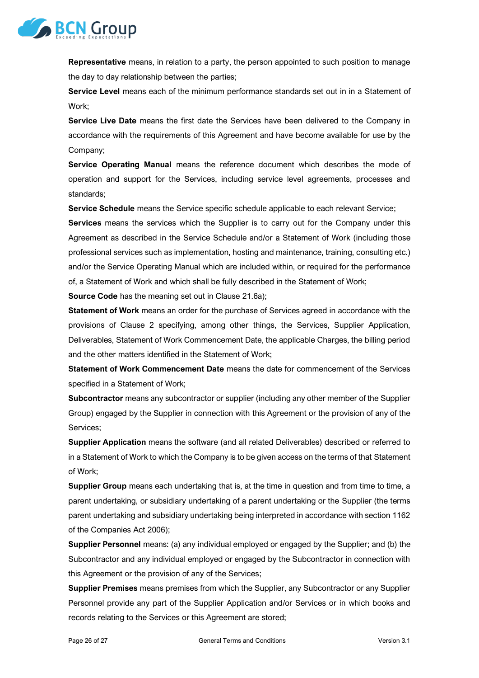

**Representative** means, in relation to a party, the person appointed to such position to manage the day to day relationship between the parties;

**Service Level** means each of the minimum performance standards set out in in a Statement of Work;

**Service Live Date** means the first date the Services have been delivered to the Company in accordance with the requirements of this Agreement and have become available for use by the Company;

**Service Operating Manual** means the reference document which describes the mode of operation and support for the Services, including service level agreements, processes and standards;

**Service Schedule** means the Service specific schedule applicable to each relevant Service;

**Services** means the services which the Supplier is to carry out for the Company under this Agreement as described in the Service Schedule and/or a Statement of Work (including those professional services such as implementation, hosting and maintenance, training, consulting etc.) and/or the Service Operating Manual which are included within, or required for the performance of, a Statement of Work and which shall be fully described in the Statement of Work;

**Source Code** has the meaning set out in Clause [21.6a\);](#page-12-1)

**Statement of Work** means an order for the purchase of Services agreed in accordance with the provisions of Clause [2](#page-1-1) specifying, among other things, the Services, Supplier Application, Deliverables, Statement of Work Commencement Date, the applicable Charges, the billing period and the other matters identified in the Statement of Work;

**Statement of Work Commencement Date** means the date for commencement of the Services specified in a Statement of Work;

**Subcontractor** means any subcontractor or supplier (including any other member of the Supplier Group) engaged by the Supplier in connection with this Agreement or the provision of any of the Services;

**Supplier Application** means the software (and all related Deliverables) described or referred to in a Statement of Work to which the Company is to be given access on the terms of that Statement of Work;

**Supplier Group** means each undertaking that is, at the time in question and from time to time, a parent undertaking, or subsidiary undertaking of a parent undertaking or the Supplier (the terms parent undertaking and subsidiary undertaking being interpreted in accordance with section 1162 of the Companies Act 2006);

**Supplier Personnel** means: (a) any individual employed or engaged by the Supplier; and (b) the Subcontractor and any individual employed or engaged by the Subcontractor in connection with this Agreement or the provision of any of the Services;

**Supplier Premises** means premises from which the Supplier, any Subcontractor or any Supplier Personnel provide any part of the Supplier Application and/or Services or in which books and records relating to the Services or this Agreement are stored;